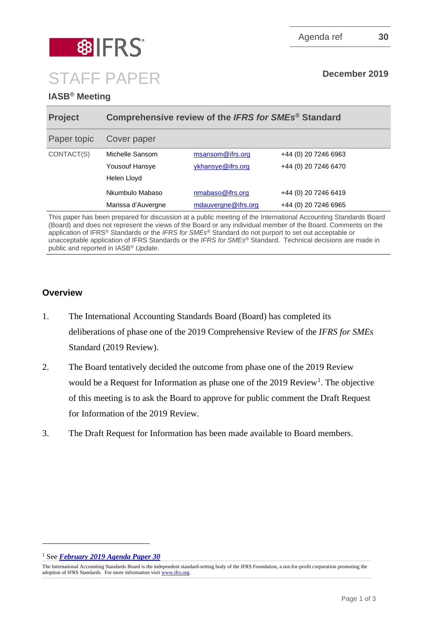STAFF PAPER **December 2019** 

# **IASB® Meeting**

**图 8 FRS** 

| <b>Project</b> | Comprehensive review of the IFRS for SMEs <sup>®</sup> Standard |                     |                      |
|----------------|-----------------------------------------------------------------|---------------------|----------------------|
| Paper topic    | Cover paper                                                     |                     |                      |
| CONTACT(S)     | Michelle Sansom                                                 | msansom@ifrs.org    | +44 (0) 20 7246 6963 |
|                | <b>Yousouf Hansye</b>                                           | ykhansye@ifrs.org   | +44 (0) 20 7246 6470 |
|                | Helen Lloyd                                                     |                     |                      |
|                | Nkumbulo Mabaso                                                 | nmabaso@ifrs.org    | +44 (0) 20 7246 6419 |
|                | Marissa d'Auvergne                                              | mdauvergne@ifrs.org | +44 (0) 20 7246 6965 |

This paper has been prepared for discussion at a public meeting of the International Accounting Standards Board (Board) and does not represent the views of the Board or any individual member of the Board. Comments on the application of IFRS® Standards or the *IFRS for SMEs*® Standard do not purport to set out acceptable or unacceptable application of IFRS Standards or the *IFRS for SMEs*® Standard. Technical decisions are made in public and reported in IASB® *Update*.

## **Overview**

- 1. The International Accounting Standards Board (Board) has completed its deliberations of phase one of the 2019 Comprehensive Review of the *IFRS for SMEs*  Standard (2019 Review).
- 2. The Board tentatively decided the outcome from phase one of the 2019 Review would be a Request for Information as phase one of the 20[1](#page-0-0)9 Review<sup>1</sup>. The objective of this meeting is to ask the Board to approve for public comment the Draft Request for Information of the 2019 Review.
- 3. The Draft Request for Information has been made available to Board members.

<span id="page-0-0"></span><sup>1</sup> See *[February 2019 Agenda Paper 30](https://www.ifrs.org/-/media/feature/meetings/2019/february/iasb/sme-standard-review-and-update/ap30-ifrs-for-smes-project-plan.pdf)*

The International Accounting Standards Board is the independent standard-setting body of the IFRS Foundation, a not-for-profit corporation promoting the adoption of IFRS Standards. For more information visit [www.ifrs.org.](http://www.ifrs.org/)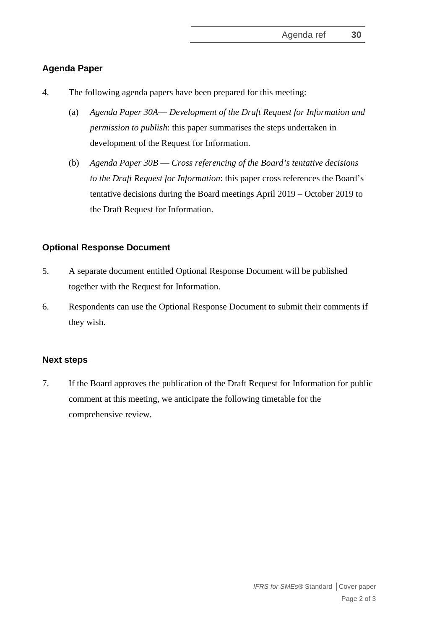### **Agenda Paper**

- 4. The following agenda papers have been prepared for this meeting:
	- (a) *Agenda Paper 30A Development of the Draft Request for Information and permission to publish*: this paper summarises the steps undertaken in development of the Request for Information.
	- (b) *Agenda Paper 30B Cross referencing of the Board's tentative decisions to the Draft Request for Information*: this paper cross references the Board's tentative decisions during the Board meetings April 2019 – October 2019 to the Draft Request for Information.

### **Optional Response Document**

- 5. A separate document entitled Optional Response Document will be published together with the Request for Information.
- 6. Respondents can use the Optional Response Document to submit their comments if they wish.

#### **Next steps**

7. If the Board approves the publication of the Draft Request for Information for public comment at this meeting, we anticipate the following timetable for the comprehensive review.